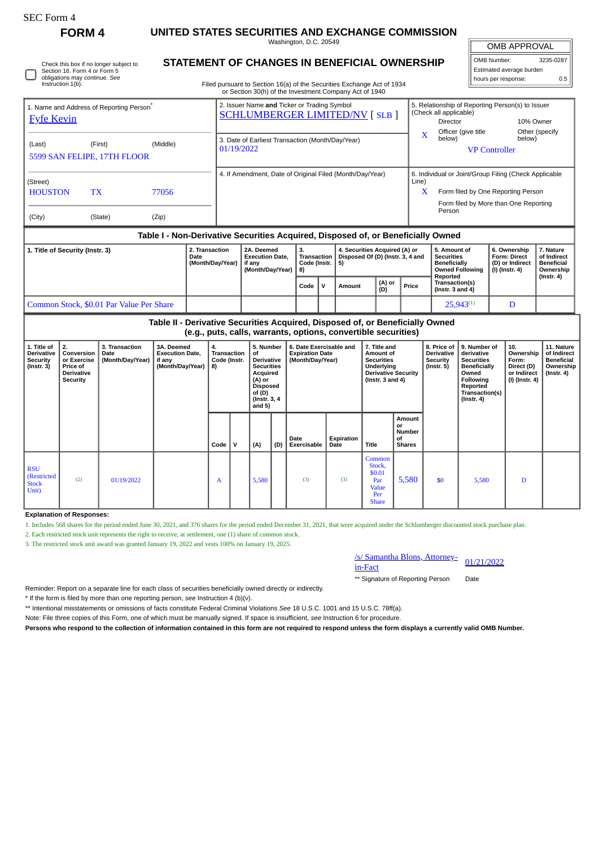**FORM 4 UNITED STATES SECURITIES AND EXCHANGE COMMISSION**

Washington, D.C. 20549 **STATEMENT OF CHANGES IN BENEFICIAL OWNERSHIP**

OMB APPROVAL

| OMB Number:              |  | 3235-0287 |  |  |  |  |  |  |
|--------------------------|--|-----------|--|--|--|--|--|--|
| Estimated average burden |  |           |  |  |  |  |  |  |
| hours per response:      |  | 0.5       |  |  |  |  |  |  |

Filed pursuant to Section 16(a) of the Securities Exchange Act of 1934 or Section 30(h) of the Investment Company Act of 1940

| 1. Name and Address of Reporting Person <sup>®</sup><br><b>Fyfe Kevin</b>        |                                                    |       | 2. Issuer Name and Ticker or Trading Symbol<br><b>SCHLUMBERGER LIMITED/NV [SLB ]</b> | 5. Relationship of Reporting Person(s) to Issuer<br>(Check all applicable)<br>10% Owner<br>Director |  |  |  |  |  |
|----------------------------------------------------------------------------------|----------------------------------------------------|-------|--------------------------------------------------------------------------------------|-----------------------------------------------------------------------------------------------------|--|--|--|--|--|
| (Last)                                                                           | (Middle)<br>(First)<br>5599 SAN FELIPE, 17TH FLOOR |       | 3. Date of Earliest Transaction (Month/Day/Year)<br>01/19/2022                       | Officer (give title<br>Other (specify<br>x<br>below)<br>below)<br><b>VP Controller</b>              |  |  |  |  |  |
| (Street)                                                                         |                                                    |       | 4. If Amendment, Date of Original Filed (Month/Day/Year)                             | 6. Individual or Joint/Group Filing (Check Applicable<br>Line)                                      |  |  |  |  |  |
| <b>HOUSTON</b>                                                                   | TX                                                 | 77056 |                                                                                      | X<br>Form filed by One Reporting Person                                                             |  |  |  |  |  |
| (City)                                                                           | (State)                                            | (Zip) |                                                                                      | Form filed by More than One Reporting<br>Person                                                     |  |  |  |  |  |
| Table I - Non-Derivative Securities Acquired, Disposed of, or Beneficially Owned |                                                    |       |                                                                                      |                                                                                                     |  |  |  |  |  |

| 1. Title of Security (Instr. 3)          | 2. Transaction<br>Date<br>(Month/Day/Year) | 2A. Deemed<br><b>Execution Date.</b><br>l if anv<br>(Month/Dav/Year) | з.<br>Code (Instr. 15)<br>l 8) |     | 4. Securities Acquired (A) or<br>Transaction   Disposed Of (D) (Instr. 3, 4 and |               |       | l 5. Amount of<br>l Securities<br>Beneficially<br><b>Owned Following</b> | 6. Ownership<br><b>Form: Direct</b><br>(D) or Indirect<br>  (I) (Instr. 4) | . Nature<br>of Indirect<br><b>Beneficial</b><br>Ownership |
|------------------------------------------|--------------------------------------------|----------------------------------------------------------------------|--------------------------------|-----|---------------------------------------------------------------------------------|---------------|-------|--------------------------------------------------------------------------|----------------------------------------------------------------------------|-----------------------------------------------------------|
|                                          |                                            |                                                                      | Code                           | . v | Amount                                                                          | (A) or<br>(D) | Price | Reported<br>Transaction(s)<br>(Instr. $3$ and $4$ )                      |                                                                            | (Instr. 4)                                                |
| Common Stock, \$0.01 Par Value Per Share |                                            |                                                                      |                                |     |                                                                                 |               |       | $25.943^{(1)}$                                                           |                                                                            |                                                           |

|                                                                  | Table II - Derivative Securities Acquired, Disposed of, or Beneficially Owned<br>(e.g., puts, calls, warrants, options, convertible securities) |                                            |                                                                    |                                         |   |                                                                                                                                    |     |                     |                                                                       |                                                                   |                                                                                                                    |     |                                                                                                                                         |                                                                          |                                                                                 |
|------------------------------------------------------------------|-------------------------------------------------------------------------------------------------------------------------------------------------|--------------------------------------------|--------------------------------------------------------------------|-----------------------------------------|---|------------------------------------------------------------------------------------------------------------------------------------|-----|---------------------|-----------------------------------------------------------------------|-------------------------------------------------------------------|--------------------------------------------------------------------------------------------------------------------|-----|-----------------------------------------------------------------------------------------------------------------------------------------|--------------------------------------------------------------------------|---------------------------------------------------------------------------------|
| 1. Title of<br>Derivative<br><b>Security</b><br>$($ Instr. 3 $)$ | 2.<br>Conversion<br>or Exercise<br>Price of<br>Derivative<br>Security                                                                           | 3. Transaction<br>Date<br>(Month/Day/Year) | 3A. Deemed<br><b>Execution Date,</b><br>if any<br>(Month/Day/Year) | 4.<br>Transaction<br>Code (Instr.<br>8) |   | 5. Number<br>οf<br><b>Derivative</b><br><b>Securities</b><br>Acquired<br>(A) or<br>Disposed<br>of (D)<br>(Instr. 3, 4)<br>and $5)$ |     |                     | 6. Date Exercisable and<br><b>Expiration Date</b><br>(Month/Day/Year) |                                                                   | 7. Title and<br>Amount of<br><b>Securities</b><br>Underlying<br><b>Derivative Security</b><br>( $Instr. 3 and 4$ ) |     | 9. Number of<br>derivative<br><b>Securities</b><br>Beneficially<br>Owned<br>Following<br>Reported<br>Transaction(s)<br>$($ Instr. 4 $)$ | 10.<br>Ownership<br>Form:<br>Direct (D)<br>or Indirect<br>(I) (Instr. 4) | 11. Nature<br>of Indirect<br><b>Beneficial</b><br>Ownership<br>$($ lnstr. 4 $)$ |
|                                                                  |                                                                                                                                                 |                                            |                                                                    | Code                                    | V | (A)                                                                                                                                | (D) | Date<br>Exercisable | Expiration<br>Date                                                    | <b>Title</b>                                                      | Amount<br>or<br>Number<br>of<br><b>Shares</b>                                                                      |     |                                                                                                                                         |                                                                          |                                                                                 |
| <b>RSU</b><br>(Restricted<br><b>Stock</b><br>Unit)               | (2)                                                                                                                                             | 01/19/2022                                 |                                                                    | A                                       |   | 5,580                                                                                                                              |     | (3)                 | (3)                                                                   | Common<br>Stock,<br>\$0.01<br>Par<br>Value<br>Per<br><b>Share</b> | 5,580                                                                                                              | \$0 | 5,580                                                                                                                                   | D                                                                        |                                                                                 |

**Explanation of Responses:**

1. Includes 568 shares for the period ended June 30, 2021, and 376 shares for the period ended December 31, 2021, that were acquired under the Schlumberger discounted stock purchase plan.

2. Each restricted stock unit represents the right to receive, at settlement, one (1) share of common stock.

3. The restricted stock unit award was granted January 19, 2022 and vests 100% on January 19, 2025.



\*\* Signature of Reporting Person Date

Reminder: Report on a separate line for each class of securities beneficially owned directly or indirectly.

\* If the form is filed by more than one reporting person, *see* Instruction 4 (b)(v).

\*\* Intentional misstatements or omissions of facts constitute Federal Criminal Violations *See* 18 U.S.C. 1001 and 15 U.S.C. 78ff(a).

Note: File three copies of this Form, one of which must be manually signed. If space is insufficient, *see* Instruction 6 for procedure.

**Persons who respond to the collection of information contained in this form are not required to respond unless the form displays a currently valid OMB Number.**

Check this box if no longer subject to Section 16. Form 4 or Form 5 obligations may continue. *See* Instruction 1(b).